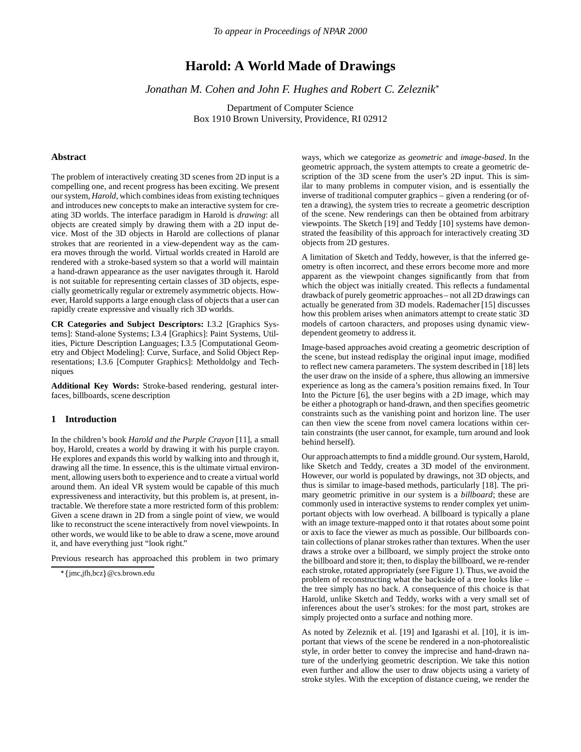# **Harold: A World Made of Drawings**

*Jonathan M. Cohen and John F. Hughes and Robert C. Zeleznik*

Department of Computer Science Box 1910 Brown University, Providence, RI 02912

## **Abstract**

The problem of interactively creating 3D scenes from 2D input is a compelling one, and recent progress has been exciting. We present our system, *Harold*, which combines ideas from existing techniques and introduces new concepts to make an interactive system for creating 3D worlds. The interface paradigm in Harold is *drawing*: all objects are created simply by drawing them with a 2D input device. Most of the 3D objects in Harold are collections of planar strokes that are reoriented in a view-dependent way as the camera moves through the world. Virtual worlds created in Harold are rendered with a stroke-based system so that a world will maintain a hand-drawn appearance as the user navigates through it. Harold is not suitable for representing certain classes of 3D objects, especially geometrically regular or extremely asymmetric objects. However, Harold supports a large enough class of objects that a user can rapidly create expressive and visually rich 3D worlds.

**CR Categories and Subject Descriptors:** I.3.2 [Graphics Systems]: Stand-alone Systems; I.3.4 [Graphics]: Paint Systems, Utilities, Picture Description Languages; I.3.5 [Computational Geometry and Object Modeling]: Curve, Surface, and Solid Object Representations; I.3.6 [Computer Graphics]: Metholdolgy and Techniques

**Additional Key Words:** Stroke-based rendering, gestural interfaces, billboards, scene description

# **1 Introduction**

In the children's book *Harold and the Purple Crayon* [11], a small boy, Harold, creates a world by drawing it with his purple crayon. He explores and expands this world by walking into and through it, drawing all the time. In essence, this is the ultimate virtual environment, allowing users both to experience and to create a virtual world around them. An ideal VR system would be capable of this much expressiveness and interactivity, but this problem is, at present, intractable. We therefore state a more restricted form of this problem: Given a scene drawn in 2D from a single point of view, we would like to reconstruct the scene interactively from novel viewpoints. In other words, we would like to be able to draw a scene, move around it, and have everything just "look right."

Previous research has approached this problem in two primary

ways, which we categorize as *geometric* and *image-based*. In the geometric approach, the system attempts to create a geometric description of the 3D scene from the user's 2D input. This is similar to many problems in computer vision, and is essentially the inverse of traditional computer graphics – given a rendering (or often a drawing), the system tries to recreate a geometric description of the scene. New renderings can then be obtained from arbitrary viewpoints. The Sketch [19] and Teddy [10] systems have demonstrated the feasibility of this approach for interactively creating 3D objects from 2D gestures.

A limitation of Sketch and Teddy, however, is that the inferred geometry is often incorrect, and these errors become more and more apparent as the viewpoint changes significantly from that from which the object was initially created. This reflects a fundamental drawback of purely geometric approaches– not all 2D drawings can actually be generated from 3D models. Rademacher [15] discusses how this problem arises when animators attempt to create static 3D models of cartoon characters, and proposes using dynamic viewdependent geometry to address it.

Image-based approaches avoid creating a geometric description of the scene, but instead redisplay the original input image, modified to reflect new camera parameters. The system described in [18] lets the user draw on the inside of a sphere, thus allowing an immersive experience as long as the camera's position remains fixed. In Tour Into the Picture [6], the user begins with a 2D image, which may be either a photograph or hand-drawn, and then specifies geometric constraints such as the vanishing point and horizon line. The user can then view the scene from novel camera locations within certain constraints (the user cannot, for example, turn around and look behind herself).

Our approach attempts to find a middle ground. Our system, Harold, like Sketch and Teddy, creates a 3D model of the environment. However, our world is populated by drawings, not 3D objects, and thus is similar to image-based methods, particularly [18]. The primary geometric primitive in our system is a *billboard*; these are commonly used in interactive systems to render complex yet unimportant objects with low overhead. A billboard is typically a plane with an image texture-mapped onto it that rotates about some point or axis to face the viewer as much as possible. Our billboards contain collections of planar strokes rather than textures. When the user draws a stroke over a billboard, we simply project the stroke onto the billboard and store it; then, to display the billboard, we re-render each stroke, rotated appropriately (see Figure 1). Thus, we avoid the problem of reconstructing what the backside of a tree looks like – the tree simply has no back. A consequence of this choice is that Harold, unlike Sketch and Teddy, works with a very small set of inferences about the user's strokes: for the most part, strokes are simply projected onto a surface and nothing more.

As noted by Zeleznik et al. [19] and Igarashi et al. [10], it is important that views of the scene be rendered in a non-photorealistic style, in order better to convey the imprecise and hand-drawn nature of the underlying geometric description. We take this notion even further and allow the user to draw objects using a variety of stroke styles. With the exception of distance cueing, we render the

fjmc,jfh,bczg@cs.brown.edu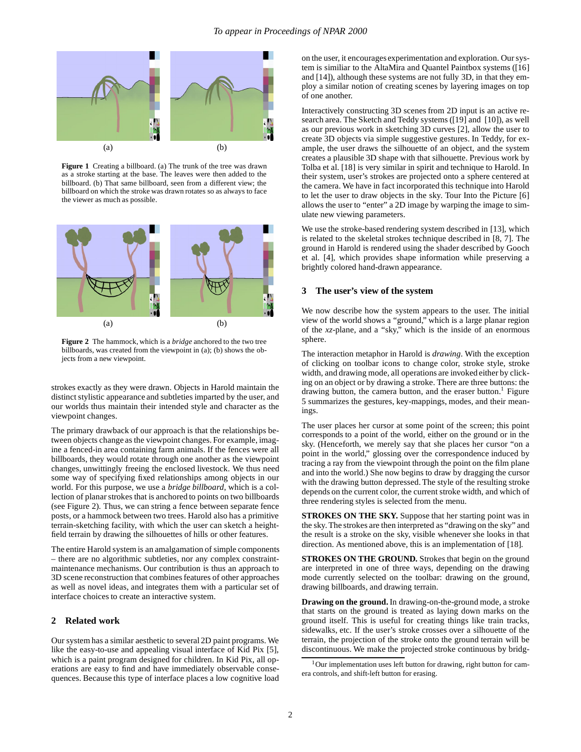

**Figure 1** Creating a billboard. (a) The trunk of the tree was drawn as a stroke starting at the base. The leaves were then added to the billboard. (b) That same billboard, seen from a different view; the billboard on which the stroke was drawn rotates so as always to face the viewer as much as possible.



**Figure 2** The hammock, which is a *bridge* anchored to the two tree billboards, was created from the viewpoint in (a); (b) shows the objects from a new viewpoint.

strokes exactly as they were drawn. Objects in Harold maintain the distinct stylistic appearance and subtleties imparted by the user, and our worlds thus maintain their intended style and character as the viewpoint changes.

The primary drawback of our approach is that the relationships between objects change as the viewpoint changes. For example, imagine a fenced-in area containing farm animals. If the fences were all billboards, they would rotate through one another as the viewpoint changes, unwittingly freeing the enclosed livestock. We thus need some way of specifying fixed relationships among objects in our world. For this purpose, we use a *bridge billboard*, which is a collection of planar strokes that is anchored to points on two billboards (see Figure 2). Thus, we can string a fence between separate fence posts, or a hammock between two trees. Harold also has a primitive terrain-sketching facility, with which the user can sketch a heightfield terrain by drawing the silhouettes of hills or other features.

The entire Harold system is an amalgamation of simple components – there are no algorithmic subtleties, nor any complex constraintmaintenance mechanisms. Our contribution is thus an approach to 3D scene reconstruction that combines features of other approaches as well as novel ideas, and integrates them with a particular set of interface choices to create an interactive system.

# **2 Related work**

Our system has a similar aesthetic to several 2D paint programs. We like the easy-to-use and appealing visual interface of Kid Pix [5], which is a paint program designed for children. In Kid Pix, all operations are easy to find and have immediately observable consequences. Because this type of interface places a low cognitive load on the user, it encouragesexperimentation and exploration. Our system is similiar to the AltaMira and Quantel Paintbox systems ([16] and [14]), although these systems are not fully 3D, in that they employ a similar notion of creating scenes by layering images on top of one another.

Interactively constructing 3D scenes from 2D input is an active research area. The Sketch and Teddy systems ([19] and [10]), as well as our previous work in sketching 3D curves [2], allow the user to create 3D objects via simple suggestive gestures. In Teddy, for example, the user draws the silhouette of an object, and the system creates a plausible 3D shape with that silhouette. Previous work by Tolba et al. [18] is very similar in spirit and technique to Harold. In their system, user's strokes are projected onto a sphere centered at the camera. We have in fact incorporated this technique into Harold to let the user to draw objects in the sky. Tour Into the Picture [6] allows the user to "enter" a 2D image by warping the image to simulate new viewing parameters.

We use the stroke-based rendering system described in [13], which is related to the skeletal strokes technique described in [8, 7]. The ground in Harold is rendered using the shader described by Gooch et al. [4], which provides shape information while preserving a brightly colored hand-drawn appearance.

# **3 The user's view of the system**

We now describe how the system appears to the user. The initial view of the world shows a "ground," which is a large planar region of the *xz*-plane, and a "sky," which is the inside of an enormous sphere.

The interaction metaphor in Harold is *drawing*. With the exception of clicking on toolbar icons to change color, stroke style, stroke width, and drawing mode, all operations are invoked either by clicking on an object or by drawing a stroke. There are three buttons: the drawing button, the camera button, and the eraser button.<sup>1</sup> Figure 5 summarizes the gestures, key-mappings, modes, and their meanings.

The user places her cursor at some point of the screen; this point corresponds to a point of the world, either on the ground or in the sky. (Henceforth, we merely say that she places her cursor "on a point in the world," glossing over the correspondence induced by tracing a ray from the viewpoint through the point on the film plane and into the world.) She now begins to draw by dragging the cursor with the drawing button depressed. The style of the resulting stroke depends on the current color, the current stroke width, and which of three rendering styles is selected from the menu.

**STROKES ON THE SKY.** Suppose that her starting point was in the sky. The strokes are then interpreted as "drawing on the sky" and the result is a stroke on the sky, visible whenever she looks in that direction. As mentioned above, this is an implementation of [18].

**STROKES ON THE GROUND.** Strokes that begin on the ground are interpreted in one of three ways, depending on the drawing mode currently selected on the toolbar: drawing on the ground, drawing billboards, and drawing terrain.

**Drawing on the ground.** In drawing-on-the-ground mode, a stroke that starts on the ground is treated as laying down marks on the ground itself. This is useful for creating things like train tracks, sidewalks, etc. If the user's stroke crosses over a silhouette of the terrain, the projection of the stroke onto the ground terrain will be discontinuous. We make the projected stroke continuous by bridg-

<sup>&</sup>lt;sup>1</sup>Our implementation uses left button for drawing, right button for camera controls, and shift-left button for erasing.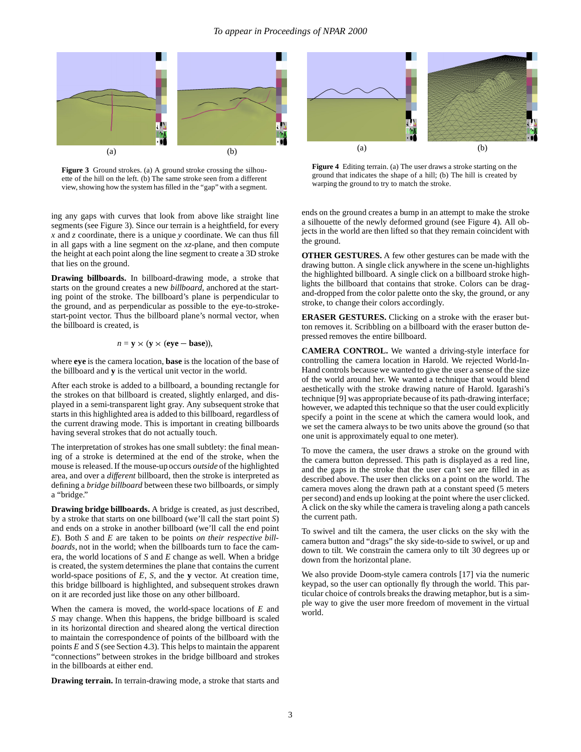

**Figure 3** Ground strokes. (a) A ground stroke crossing the silhouette of the hill on the left. (b) The same stroke seen from a different view, showing how the system has filled in the "gap" with a segment.

ing any gaps with curves that look from above like straight line segments (see Figure 3). Since our terrain is a heightfield, for every *x* and *z* coordinate, there is a unique *y* coordinate. We can thus fill in all gaps with a line segment on the *xz*-plane, and then compute the height at each point along the line segment to create a 3D stroke that lies on the ground.

**Drawing billboards.** In billboard-drawing mode, a stroke that starts on the ground creates a new *billboard*, anchored at the starting point of the stroke. The billboard's plane is perpendicular to the ground, and as perpendicular as possible to the eye-to-strokestart-point vector. Thus the billboard plane's normal vector, when the billboard is created, is

#### $n = y \times (y \times (eye - base)),$

where **eye** is the camera location, **base** is the location of the base of the billboard and **y** is the vertical unit vector in the world.

After each stroke is added to a billboard, a bounding rectangle for the strokes on that billboard is created, slightly enlarged, and displayed in a semi-transparent light gray. Any subsequent stroke that starts in this highlighted area is added to this billboard, regardless of the current drawing mode. This is important in creating billboards having several strokes that do not actually touch.

The interpretation of strokes has one small subtlety: the final meaning of a stroke is determined at the end of the stroke, when the mouse is released. If the mouse-up occurs *outside* of the highlighted area, and over a *different* billboard, then the stroke is interpreted as defining a *bridge billboard* between these two billboards, or simply a "bridge."

**Drawing bridge billboards.** A bridge is created, as just described, by a stroke that starts on one billboard (we'll call the start point *S*) and ends on a stroke in another billboard (we'll call the end point *E*). Both *S* and *E* are taken to be points *on their respective billboards*, not in the world; when the billboards turn to face the camera, the world locations of *S* and *E* change as well. When a bridge is created, the system determines the plane that contains the current world-space positions of *E*, *S*, and the **y** vector. At creation time, this bridge billboard is highlighted, and subsequent strokes drawn on it are recorded just like those on any other billboard.

When the camera is moved, the world-space locations of *E* and *S* may change. When this happens, the bridge billboard is scaled in its horizontal direction and sheared along the vertical direction to maintain the correspondence of points of the billboard with the points *E* and *S* (see Section 4.3). This helps to maintain the apparent "connections" between strokes in the bridge billboard and strokes in the billboards at either end.

**Drawing terrain.** In terrain-drawing mode, a stroke that starts and



**Figure 4** Editing terrain. (a) The user draws a stroke starting on the ground that indicates the shape of a hill; (b) The hill is created by warping the ground to try to match the stroke.

ends on the ground creates a bump in an attempt to make the stroke a silhouette of the newly deformed ground (see Figure 4). All objects in the world are then lifted so that they remain coincident with the ground.

**OTHER GESTURES.** A few other gestures can be made with the drawing button. A single click anywhere in the scene un-highlights the highlighted billboard. A single click on a billboard stroke highlights the billboard that contains that stroke. Colors can be dragand-dropped from the color palette onto the sky, the ground, or any stroke, to change their colors accordingly.

**ERASER GESTURES.** Clicking on a stroke with the eraser button removes it. Scribbling on a billboard with the eraser button depressed removes the entire billboard.

**CAMERA CONTROL.** We wanted a driving-style interface for controlling the camera location in Harold. We rejected World-In-Hand controls because we wanted to give the user a sense of the size of the world around her. We wanted a technique that would blend aesthetically with the stroke drawing nature of Harold. Igarashi's technique [9] was appropriate because of its path-drawing interface; however, we adapted this technique so that the user could explicitly specify a point in the scene at which the camera would look, and we set the camera always to be two units above the ground (so that one unit is approximately equal to one meter).

To move the camera, the user draws a stroke on the ground with the camera button depressed. This path is displayed as a red line, and the gaps in the stroke that the user can't see are filled in as described above. The user then clicks on a point on the world. The camera moves along the drawn path at a constant speed (5 meters per second) and ends up looking at the point where the user clicked. A click on the sky while the camera is traveling along a path cancels the current path.

To swivel and tilt the camera, the user clicks on the sky with the camera button and "drags" the sky side-to-side to swivel, or up and down to tilt. We constrain the camera only to tilt 30 degrees up or down from the horizontal plane.

We also provide Doom-style camera controls [17] via the numeric keypad, so the user can optionally fly through the world. This particular choice of controls breaks the drawing metaphor, but is a simple way to give the user more freedom of movement in the virtual world.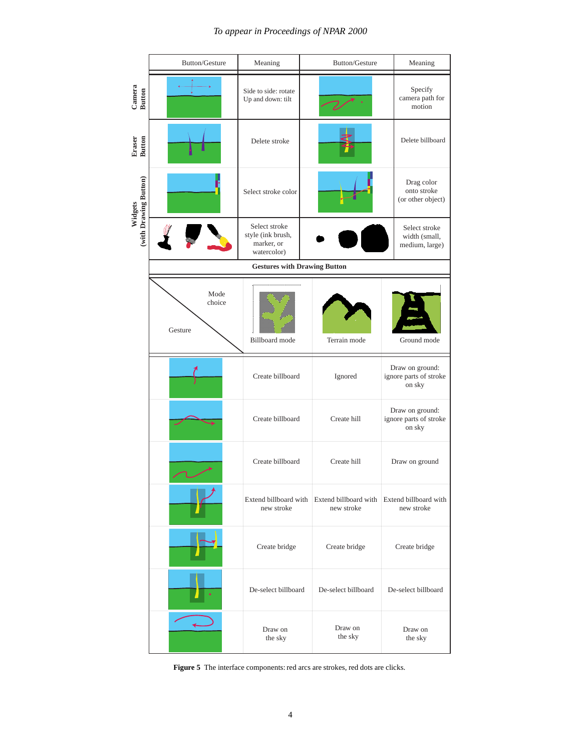

**Figure 5** The interface components: red arcs are strokes, red dots are clicks.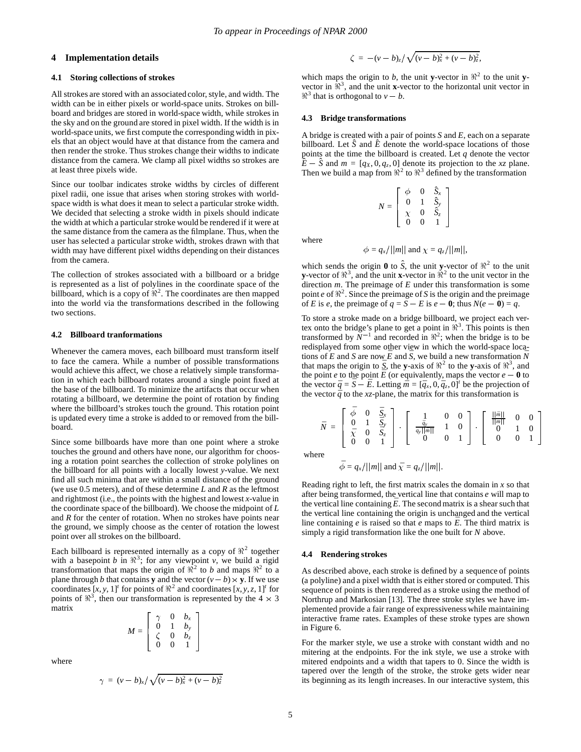# **4 Implementation details**

## **4.1 Storing collections of strokes**

All strokes are stored with an associated color, style, and width. The width can be in either pixels or world-space units. Strokes on billboard and bridges are stored in world-space width, while strokes in the sky and on the ground are stored in pixel width. If the width is in world-space units, we first compute the corresponding width in pixels that an object would have at that distance from the camera and then render the stroke. Thus strokes change their widths to indicate distance from the camera. We clamp all pixel widths so strokes are at least three pixels wide.

Since our toolbar indicates stroke widths by circles of different pixel radii, one issue that arises when storing strokes with worldspace width is what does it mean to select a particular stroke width. We decided that selecting a stroke width in pixels should indicate the width at which a particular stroke would be rendered if it were at the same distance from the camera as the filmplane. Thus, when the user has selected a particular stroke width, strokes drawn with that width may have different pixel widths depending on their distances from the camera.

The collection of strokes associated with a billboard or a bridge is represented as a list of polylines in the coordinate space of the billboard, which is a copy of  $\mathbb{R}^2$ . The coordinates are then mapped into the world via the transformations described in the following two sections.

#### **4.2 Billboard tranformations**

Whenever the camera moves, each billboard must transform itself to face the camera. While a number of possible transformations would achieve this affect, we chose a relatively simple transformation in which each billboard rotates around a single point fixed at the base of the billboard. To minimize the artifacts that occur when rotating a billboard, we determine the point of rotation by finding where the billboard's strokes touch the ground. This rotation point is updated every time a stroke is added to or removed from the billboard.

Since some billboards have more than one point where a stroke touches the ground and others have none, our algorithm for choosing a rotation point searches the collection of stroke polylines on the billboard for all points with a locally lowest *y*-value. We next find all such minima that are within a small distance of the ground (we use 0.5 meters), and of these determine *L* and *R* as the leftmost and rightmost (i.e., the points with the highest and lowest *x*-value in the coordinate space of the billboard). We choose the midpoint of *L* and *R* for the center of rotation. When no strokes have points near the ground, we simply choose as the center of rotation the lowest point over all strokes on the billboard.

Each billboard is represented internally as a copy of  $\mathbb{R}^2$  together with a basepoint *b* in  $\mathbb{R}^3$ ; for any viewpoint *v*, we build a rigid transformation that maps the origin of  $\tilde{\mathbb{R}}^2$  to *b* and maps  $\mathbb{R}^2$  to a plane through *b* that contains **y** and the vector  $(v - b) \times y$ . If we use coordinates  $[x, y, 1]^t$  for points of  $\mathbb{R}^2$  and coordinates  $[x, y, z, 1]^t$  for points of  $\mathbb{R}^3$ , then our transformation is represented by the 4  $\times$  3 matrix

$$
M = \left[ \begin{array}{rrr} \gamma & 0 & b_x \\ 0 & 1 & b_y \\ \zeta & 0 & b_z \\ 0 & 0 & 1 \end{array} \right]
$$

<sup>3</sup>

<sup>2</sup>

where

$$
\gamma = (v - b)_x / \sqrt{(v - b)_x^2 + (v - b)_z^2}
$$

$$
\zeta = -(v-b)_{z}/\sqrt{(v-b)_{x}^{2}+(v-b)_{z}^{2}},
$$

which maps the origin to *b*, the unit **y**-vector in  $\mathbb{R}^2$  to the unit **y**vector in  $\hat{\mathbb{R}}^3$ , and the unit **x**-vector to the horizontal unit vector in  $\mathbb{R}^3$  that is orthogonal to  $v - b$ .

#### **4.3 Bridge transformations**

A bridge is created with a pair of points *S* and *E*, each on a separate billboard. Let  $\hat{S}$  and  $\hat{E}$  denote the world-space locations of those points at the time the billboard is created. Let *q* denote the vector  $\hat{E} - \hat{S}$  and  $m = [q_X, 0, q_z, 0]$  denote its projection to the *xz* plane. Then we build a map from  $\mathbb{R}^2$  to  $\mathbb{R}^3$  defined by the transformation

$$
N = \left[ \begin{array}{ccc} \phi & 0 & \hat{S}_x \\ 0 & 1 & \hat{S}_y \\ \chi & 0 & \hat{S}_z \\ 0 & 0 & 1 \end{array} \right]
$$

where

$$
\phi = q_x/||m||
$$
 and  $\chi = q_z/||m||$ ,

which sends the origin  $\theta$  to  $\hat{S}$ , the unit **y**-vector of  $\Re^2$  to the unit **y**-vector of  $\mathbb{R}^3$ , and the unit **x**-vector in  $\mathbb{R}^2$  to the unit vector in the direction *m*. The preimage of *E* under this transformation is some point *e* of  $\mathbb{R}^2$ . Since the preimage of *S* is the origin and the preimage of *E* is *e*, the preimage of  $q = \overline{S} - E$  is  $e - \overline{0}$ ; thus  $N(e - \overline{0}) = q$ .

To store a stroke made on a bridge billboard, we project each vertex onto the bridge's plane to get a point in  $\mathbb{R}^3$ . This points is then transformed by  $N^{-1}$  and recorded in  $\mathbb{R}^2$ ; when the bridge is to be redisplayed from some other view in which the world-space locations of *E* and *S* are now  $\bar{E}$  and  $\bar{S}$ , we build a new transformation  $\bar{N}$ that maps the origin to  $\bar{S}$ , the **y**-axis of  $\Re^2$  to the **y**-axis of  $\Re^3$ , and the point *e* to the point  $\overline{E}$  (or equivalently, maps the vector  $e - \mathbf{0}$  to the vector  $\bar{q} = \bar{S} - \bar{E}$ . Letting  $\bar{m} = [\bar{q}_x, 0, \bar{q}_z, 0]^t$  be the projection of the vector  $\bar{q}$  to the *xz*-plane, the matrix for this transformation is

$$
\bar{N} = \left[\begin{array}{ccc} \bar{\phi} & 0 & \bar{S}_x \\ 0 & 1 & \bar{S}_y \\ \bar{\chi} & 0 & \bar{S}_z \\ 0 & 0 & 1 \end{array}\right] \cdot \left[\begin{array}{ccc} 1 & 0 & 0 \\ \frac{\bar{q}_y}{q_y || \bar{m} ||} & 1 & 0 \\ 0 & 0 & 1 \end{array}\right] \cdot \left[\begin{array}{ccc} \frac{||\bar{m}||}{||m||} & 0 & 0 \\ 0 & 1 & 0 \\ 0 & 0 & 1 \end{array}\right]
$$

where

$$
\bar{\phi} = q_x/||m||
$$
 and 
$$
\bar{\chi} = q_z/||m||.
$$

Reading right to left, the first matrix scales the domain in *x* so that after being transformed, the vertical line that contains *e* will map to the vertical line containing  $\bar{E}$ . The second matrix is a shear such that the vertical line containing the origin is unchanged and the vertical line containing  $e$  is raised so that  $e$  maps to  $E$ . The third matrix is simply a rigid transformation like the one built for *N* above.

#### **4.4 Rendering strokes**

As described above, each stroke is defined by a sequence of points (a polyline) and a pixel width that is either stored or computed. This sequence of points is then rendered as a stroke using the method of Northrup and Markosian [13]. The three stroke styles we have implemented provide a fair range of expressiveness while maintaining interactive frame rates. Examples of these stroke types are shown in Figure 6.

For the marker style, we use a stroke with constant width and no mitering at the endpoints. For the ink style, we use a stroke with mitered endpoints and a width that tapers to 0. Since the width is tapered over the length of the stroke, the stroke gets wider near its beginning as its length increases. In our interactive system, this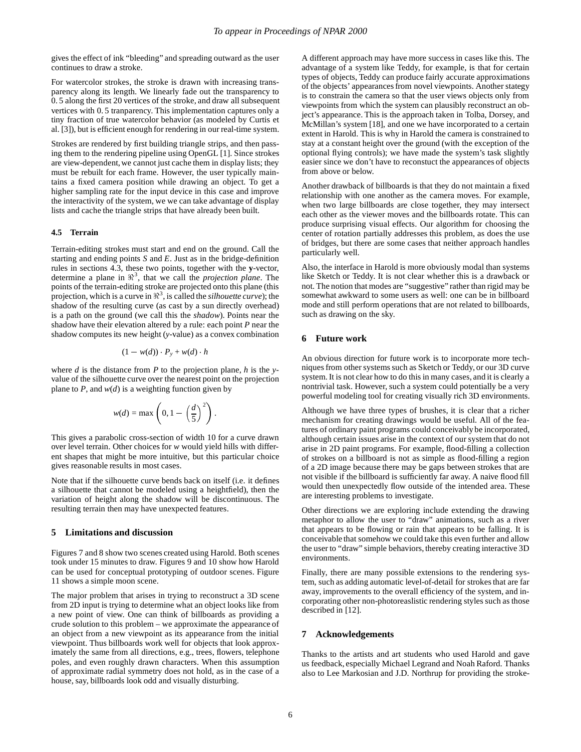gives the effect of ink "bleeding" and spreading outward as the user continues to draw a stroke.

For watercolor strokes, the stroke is drawn with increasing transparency along its length. We linearly fade out the transparency to 0. 5 along the first 20 vertices of the stroke, and draw all subsequent vertices with 0. 5 tranparency. This implementation captures only a tiny fraction of true watercolor behavior (as modeled by Curtis et al. [3]), but is efficient enough for rendering in our real-time system.

Strokes are rendered by first building triangle strips, and then passing them to the rendering pipeline using OpenGL [1]. Since strokes are view-dependent, we cannot just cache them in display lists; they must be rebuilt for each frame. However, the user typically maintains a fixed camera position while drawing an object. To get a higher sampling rate for the input device in this case and improve the interactivity of the system, we we can take advantage of display lists and cache the triangle strips that have already been built.

## **4.5 Terrain**

Terrain-editing strokes must start and end on the ground. Call the starting and ending points *S* and *E*. Just as in the bridge-definition rules in sections 4.3, these two points, together with the **y**-vector, determine a plane in  $\mathbb{R}^3$ , that we call the *projection plane*. The points of the terrain-editing stroke are projected onto this plane (this projection, which is a curve in  $\mathbb{R}^3$ , is called the *silhouette curve*); the shadow of the resulting curve (as cast by a sun directly overhead) is a path on the ground (we call this the *shadow*). Points near the shadow have their elevation altered by a rule: each point *P* near the shadow computes its new height (*y*-value) as a convex combination

$$
(1 - w(d)) P_y + w(d) h
$$

where *d* is the distance from *P* to the projection plane, *h* is the *y*value of the silhouette curve over the nearest point on the projection plane to  $P$ , and  $w(d)$  is a weighting function given by

$$
w(d) = \max\left(0, 1 - \left(\frac{d}{5}\right)^2\right).
$$

This gives a parabolic cross-section of width 10 for a curve drawn over level terrain. Other choices for *w* would yield hills with different shapes that might be more intuitive, but this particular choice gives reasonable results in most cases.

Note that if the silhouette curve bends back on itself (i.e. it defines a silhouette that cannot be modeled using a heightfield), then the variation of height along the shadow will be discontinuous. The resulting terrain then may have unexpected features.

# **5 Limitations and discussion**

Figures 7 and 8 show two scenes created using Harold. Both scenes took under 15 minutes to draw. Figures 9 and 10 show how Harold can be used for conceptual prototyping of outdoor scenes. Figure 11 shows a simple moon scene.

The major problem that arises in trying to reconstruct a 3D scene from 2D input is trying to determine what an object looks like from a new point of view. One can think of billboards as providing a crude solution to this problem – we approximate the appearance of an object from a new viewpoint as its appearance from the initial viewpoint. Thus billboards work well for objects that look approximately the same from all directions, e.g., trees, flowers, telephone poles, and even roughly drawn characters. When this assumption of approximate radial symmetry does not hold, as in the case of a house, say, billboards look odd and visually disturbing.

A different approach may have more success in cases like this. The advantage of a system like Teddy, for example, is that for certain types of objects, Teddy can produce fairly accurate approximations of the objects' appearances from novel viewpoints. Another stategy is to constrain the camera so that the user views objects only from viewpoints from which the system can plausibly reconstruct an object's appearance. This is the approach taken in Tolba, Dorsey, and McMillan's system [18], and one we have incorporated to a certain extent in Harold. This is why in Harold the camera is constrained to stay at a constant height over the ground (with the exception of the optional flying controls); we have made the system's task slightly easier since we don't have to reconstuct the appearances of objects from above or below.

Another drawback of billboards is that they do not maintain a fixed relationship with one another as the camera moves. For example, when two large billboards are close together, they may intersect each other as the viewer moves and the billboards rotate. This can produce surprising visual effects. Our algorithm for choosing the center of rotation partially addresses this problem, as does the use of bridges, but there are some cases that neither approach handles particularly well.

Also, the interface in Harold is more obviously modal than systems like Sketch or Teddy. It is not clear whether this is a drawback or not. The notion that modes are "suggestive" rather than rigid may be somewhat awkward to some users as well: one can be in billboard mode and still perform operations that are not related to billboards, such as drawing on the sky.

## **6 Future work**

An obvious direction for future work is to incorporate more techniques from other systems such as Sketch or Teddy, or our 3D curve system. It is not clear how to do this in many cases, and it is clearly a nontrivial task. However, such a system could potentially be a very powerful modeling tool for creating visually rich 3D environments.

Although we have three types of brushes, it is clear that a richer mechanism for creating drawings would be useful. All of the features of ordinary paint programs could conceivably be incorporated, although certain issues arise in the context of our system that do not arise in 2D paint programs. For example, flood-filling a collection of strokes on a billboard is not as simple as flood-filling a region of a 2D image because there may be gaps between strokes that are not visible if the billboard is sufficiently far away. A naive flood fill would then unexpectedly flow outside of the intended area. These are interesting problems to investigate.

Other directions we are exploring include extending the drawing metaphor to allow the user to "draw" animations, such as a river that appears to be flowing or rain that appears to be falling. It is conceivable that somehow we could take this even further and allow the user to "draw" simple behaviors, thereby creating interactive 3D environments.

Finally, there are many possible extensions to the rendering system, such as adding automatic level-of-detail for strokes that are far away, improvements to the overall efficiency of the system, and incorporating other non-photoreaslistic rendering styles such as those described in [12].

## **7 Acknowledgements**

Thanks to the artists and art students who used Harold and gave us feedback, especially Michael Legrand and Noah Raford. Thanks also to Lee Markosian and J.D. Northrup for providing the stroke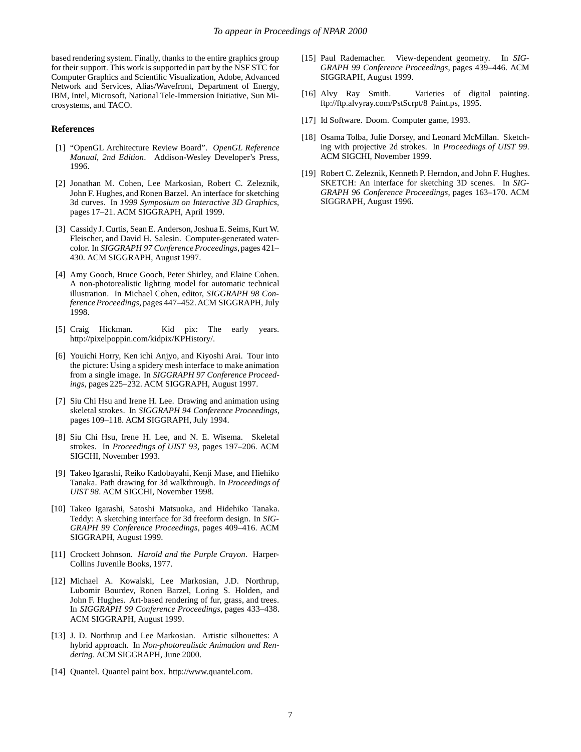based rendering system. Finally, thanks to the entire graphics group for their support. This work is supported in part by the NSF STC for Computer Graphics and Scientific Visualization, Adobe, Advanced Network and Services, Alias/Wavefront, Department of Energy, IBM, Intel, Microsoft, National Tele-Immersion Initiative, Sun Microsystems, and TACO.

## **References**

- [1] "OpenGL Architecture Review Board". *OpenGL Reference Manual, 2nd Edition*. Addison-Wesley Developer's Press, 1996.
- [2] Jonathan M. Cohen, Lee Markosian, Robert C. Zeleznik, John F. Hughes, and Ronen Barzel. An interface for sketching 3d curves. In *1999 Symposium on Interactive 3D Graphics*, pages 17–21. ACM SIGGRAPH, April 1999.
- [3] Cassidy J. Curtis, Sean E. Anderson, Joshua E. Seims, Kurt W. Fleischer, and David H. Salesin. Computer-generated watercolor. In *SIGGRAPH 97 Conference Proceedings*, pages 421-430. ACM SIGGRAPH, August 1997.
- [4] Amy Gooch, Bruce Gooch, Peter Shirley, and Elaine Cohen. A non-photorealistic lighting model for automatic technical illustration. In Michael Cohen, editor, *SIGGRAPH 98 Conference Proceedings*, pages 447–452. ACM SIGGRAPH, July 1998.
- [5] Craig Hickman. Kid pix: The early years. http://pixelpoppin.com/kidpix/KPHistory/.
- [6] Youichi Horry, Ken ichi Anjyo, and Kiyoshi Arai. Tour into the picture: Using a spidery mesh interface to make animation from a single image. In *SIGGRAPH 97 Conference Proceedings*, pages 225–232. ACM SIGGRAPH, August 1997.
- [7] Siu Chi Hsu and Irene H. Lee. Drawing and animation using skeletal strokes. In *SIGGRAPH 94 Conference Proceedings*, pages 109–118. ACM SIGGRAPH, July 1994.
- [8] Siu Chi Hsu, Irene H. Lee, and N. E. Wisema. Skeletal strokes. In *Proceedings of UIST 93*, pages 197–206. ACM SIGCHI, November 1993.
- [9] Takeo Igarashi, Reiko Kadobayahi, Kenji Mase, and Hiehiko Tanaka. Path drawing for 3d walkthrough. In *Proceedings of UIST 98*. ACM SIGCHI, November 1998.
- [10] Takeo Igarashi, Satoshi Matsuoka, and Hidehiko Tanaka. Teddy: A sketching interface for 3d freeform design. In *SIG-GRAPH 99 Conference Proceedings*, pages 409–416. ACM SIGGRAPH, August 1999.
- [11] Crockett Johnson. *Harold and the Purple Crayon*. Harper-Collins Juvenile Books, 1977.
- [12] Michael A. Kowalski, Lee Markosian, J.D. Northrup, Lubomir Bourdev, Ronen Barzel, Loring S. Holden, and John F. Hughes. Art-based rendering of fur, grass, and trees. In *SIGGRAPH 99 Conference Proceedings*, pages 433–438. ACM SIGGRAPH, August 1999.
- [13] J. D. Northrup and Lee Markosian. Artistic silhouettes: A hybrid approach. In *Non-photorealistic Animation and Rendering*. ACM SIGGRAPH, June 2000.
- [14] Quantel. Quantel paint box. http://www.quantel.com.
- [15] Paul Rademacher. View-dependent geometry. In *SIG-GRAPH 99 Conference Proceedings*, pages 439–446. ACM SIGGRAPH, August 1999.
- [16] Alvy Ray Smith. Varieties of digital painting. ftp://ftp.alvyray.com/PstScrpt/8 Paint.ps, 1995.
- [17] Id Software. Doom. Computer game, 1993.
- [18] Osama Tolba, Julie Dorsey, and Leonard McMillan. Sketching with projective 2d strokes. In *Proceedings of UIST 99*. ACM SIGCHI, November 1999.
- [19] Robert C. Zeleznik, Kenneth P. Herndon, and John F. Hughes. SKETCH: An interface for sketching 3D scenes. In *SIG-GRAPH 96 Conference Proceedings*, pages 163–170. ACM SIGGRAPH, August 1996.